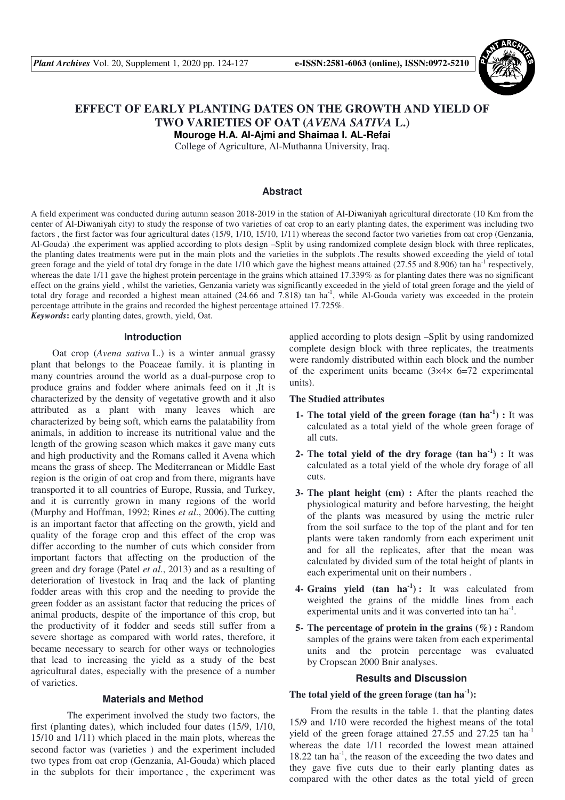

# **EFFECT OF EARLY PLANTING DATES ON THE GROWTH AND YIELD OF TWO VARIETIES OF OAT (***AVENA SATIVA* **L.)**

**Mouroge H.A. Al-Ajmi and Shaimaa I. AL-Refai** 

College of Agriculture, Al-Muthanna University, Iraq.

## **Abstract**

A field experiment was conducted during autumn season 2018-2019 in the station of Al-Diwaniyah agricultural directorate (10 Km from the center of Al-Diwaniyah city) to study the response of two varieties of oat crop to an early planting dates, the experiment was including two factors , the first factor was four agricultural dates (15/9, 1/10, 15/10, 1/11) whereas the second factor two varieties from oat crop (Genzania, Al-Gouda) .the experiment was applied according to plots design –Split by using randomized complete design block with three replicates, the planting dates treatments were put in the main plots and the varieties in the subplots .The results showed exceeding the yield of total green forage and the yield of total dry forage in the date 1/10 which gave the highest means attained (27.55 and 8.906) tan ha<sup>-1</sup> respectively, whereas the date 1/11 gave the highest protein percentage in the grains which attained 17.339% as for planting dates there was no significant effect on the grains yield , whilst the varieties, Genzania variety was significantly exceeded in the yield of total green forage and the yield of total dry forage and recorded a highest mean attained  $(24.66$  and  $7.818)$  tan ha<sup>-1</sup>, while Al-Gouda variety was exceeded in the protein percentage attribute in the grains and recorded the highest percentage attained 17.725%. *Keywords***:** early planting dates, growth, yield, Oat.

## **Introduction**

Oat crop (*Avena sativa* L.) is a winter annual grassy plant that belongs to the Poaceae family. it is planting in many countries around the world as a dual-purpose crop to produce grains and fodder where animals feed on it ,It is characterized by the density of vegetative growth and it also attributed as a plant with many leaves which are characterized by being soft, which earns the palatability from animals, in addition to increase its nutritional value and the length of the growing season which makes it gave many cuts and high productivity and the Romans called it Avena which means the grass of sheep. The Mediterranean or Middle East region is the origin of oat crop and from there, migrants have transported it to all countries of Europe, Russia, and Turkey, and it is currently grown in many regions of the world (Murphy and Hoffman, 1992; Rines *et al*., 2006).The cutting is an important factor that affecting on the growth, yield and quality of the forage crop and this effect of the crop was differ according to the number of cuts which consider from important factors that affecting on the production of the green and dry forage (Patel *et al*., 2013) and as a resulting of deterioration of livestock in Iraq and the lack of planting fodder areas with this crop and the needing to provide the green fodder as an assistant factor that reducing the prices of animal products, despite of the importance of this crop, but the productivity of it fodder and seeds still suffer from a severe shortage as compared with world rates, therefore, it became necessary to search for other ways or technologies that lead to increasing the yield as a study of the best agricultural dates, especially with the presence of a number of varieties.

### **Materials and Method**

 The experiment involved the study two factors, the first (planting dates), which included four dates (15/9, 1/10, 15/10 and 1/11) which placed in the main plots, whereas the second factor was (varieties ) and the experiment included two types from oat crop (Genzania, Al-Gouda) which placed in the subplots for their importance , the experiment was applied according to plots design –Split by using randomized complete design block with three replicates, the treatments were randomly distributed within each block and the number of the experiment units became  $(3 \times 4 \times 6 = 72)$  experimental units).

### **The Studied attributes**

- **1- The total yield of the green forage (tan ha-1) :** It was calculated as a total yield of the whole green forage of all cuts.
- **2- The total yield of the dry forage (tan ha-1) :** It was calculated as a total yield of the whole dry forage of all cuts.
- **3- The plant height (cm) :** After the plants reached the physiological maturity and before harvesting, the height of the plants was measured by using the metric ruler from the soil surface to the top of the plant and for ten plants were taken randomly from each experiment unit and for all the replicates, after that the mean was calculated by divided sum of the total height of plants in each experimental unit on their numbers .
- **4- Grains yield (tan ha-1) :** It was calculated from weighted the grains of the middle lines from each experimental units and it was converted into tan ha<sup>-1</sup>.
- **5- The percentage of protein in the grains (%) :** Random samples of the grains were taken from each experimental units and the protein percentage was evaluated by Cropscan 2000 Bnir analyses.

#### **Results and Discussion**

## **The total yield of the green forage (tan ha-1):**

From the results in the table 1. that the planting dates 15/9 and 1/10 were recorded the highest means of the total yield of the green forage attained  $27.55$  and  $27.25$  tan ha<sup>-1</sup> whereas the date 1/11 recorded the lowest mean attained  $18.22$  tan ha<sup>-1</sup>, the reason of the exceeding the two dates and they gave five cuts due to their early planting dates as compared with the other dates as the total yield of green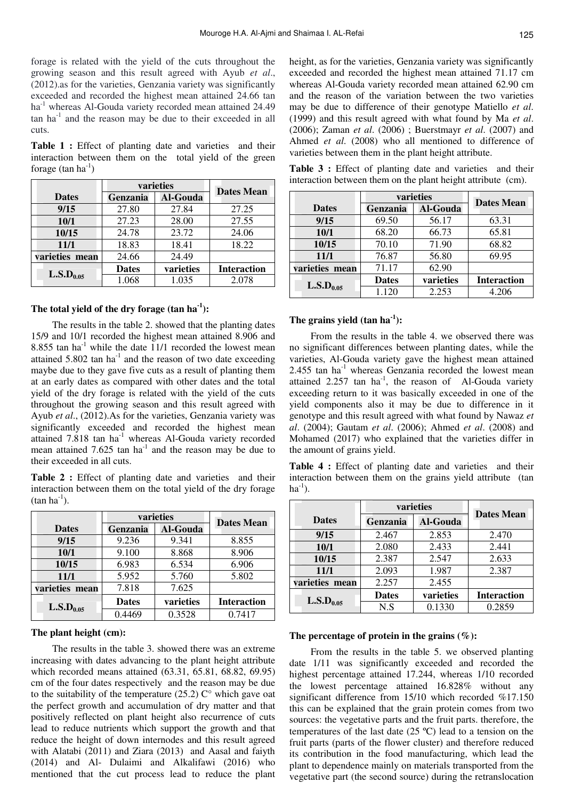forage is related with the yield of the cuts throughout the growing season and this result agreed with Ayub *et al*., (2012).as for the varieties, Genzania variety was significantly exceeded and recorded the highest mean attained 24.66 tan ha<sup>-1</sup> whereas Al-Gouda variety recorded mean attained 24.49  $\tan$  ha<sup>-1</sup> and the reason may be due to their exceeded in all cuts.

**Table 1 :** Effect of planting date and varieties and their interaction between them on the total yield of the green forage  $(tan ha^{-1})$ 

|                       | varieties    |                 | <b>Dates Mean</b>  |
|-----------------------|--------------|-----------------|--------------------|
| <b>Dates</b>          | Genzania     | <b>Al-Gouda</b> |                    |
| 9/15                  | 27.80        | 27.84           | 27.25              |
| 10/1                  | 27.23        | 28.00           | 27.55              |
| 10/15                 | 24.78        | 23.72           | 24.06              |
| 11/1                  | 18.83        | 18.41           | 18.22              |
| varieties mean        | 24.66        | 24.49           |                    |
|                       | <b>Dates</b> | varieties       | <b>Interaction</b> |
| $\text{L.S.D}_{0.05}$ | 1.068        | 1.035           | 2.078              |

## height, as for the varieties, Genzania variety was significantly exceeded and recorded the highest mean attained 71.17 cm whereas Al-Gouda variety recorded mean attained 62.90 cm and the reason of the variation between the two varieties may be due to difference of their genotype Matiello *et al*. (1999) and this result agreed with what found by Ma *et al*. (2006); Zaman *et al*. (2006) ; Buerstmayr *et al*. (2007) and Ahmed *et al*. (2008) who all mentioned to difference of varieties between them in the plant height attribute.

**Table 3 :** Effect of planting date and varieties and their interaction between them on the plant height attribute (cm).

|                       | varieties    |                 | <b>Dates Mean</b>  |
|-----------------------|--------------|-----------------|--------------------|
| <b>Dates</b>          | Genzania     | <b>Al-Gouda</b> |                    |
| 9/15                  | 69.50        | 56.17           | 63.31              |
| 10/1                  | 68.20        | 66.73           | 65.81              |
| 10/15                 | 70.10        | 71.90           | 68.82              |
| 11/1                  | 76.87        | 56.80           | 69.95              |
| varieties mean        | 71.17        | 62.90           |                    |
| L.S.D <sub>0.05</sub> | <b>Dates</b> | varieties       | <b>Interaction</b> |
|                       | 1.120        | 2.253           | 4.206              |

### **The grains yield (tan ha-1):**

From the results in the table 4. we observed there was no significant differences between planting dates, while the varieties, Al-Gouda variety gave the highest mean attained 2.455 tan  $ha^{-1}$  whereas Genzania recorded the lowest mean attained 2.257 tan  $ha^{-1}$ , the reason of Al-Gouda variety exceeding return to it was basically exceeded in one of the yield components also it may be due to difference in it genotype and this result agreed with what found by Nawaz *et al*. (2004); Gautam *et al*. (2006); Ahmed *et al*. (2008) and Mohamed (2017) who explained that the varieties differ in the amount of grains yield.

**Table 4 :** Effect of planting date and varieties and their interaction between them on the grains yield attribute (tan  $ha^{-1}$ ).

|                       | varieties    |           |                    |
|-----------------------|--------------|-----------|--------------------|
| <b>Dates</b>          | Genzania     | Al-Gouda  | <b>Dates Mean</b>  |
| 9/15                  | 2.467        | 2.853     | 2.470              |
| 10/1                  | 2.080        | 2.433     | 2.441              |
| 10/15                 | 2.387        | 2.547     | 2.633              |
| 11/1                  | 2.093        | 1.987     | 2.387              |
| varieties mean        | 2.257        | 2.455     |                    |
| $\text{L.S.D}_{0.05}$ | <b>Dates</b> | varieties | <b>Interaction</b> |
|                       | N.S          | 0.1330    | 0.2859             |

#### **The percentage of protein in the grains (%):**

From the results in the table 5. we observed planting date 1/11 was significantly exceeded and recorded the highest percentage attained 17.244, whereas 1/10 recorded the lowest percentage attained 16.828% without any significant difference from 15/10 which recorded %17.150 this can be explained that the grain protein comes from two sources: the vegetative parts and the fruit parts. therefore, the temperatures of the last date (25 ºC) lead to a tension on the fruit parts (parts of the flower cluster) and therefore reduced its contribution in the food manufacturing, which lead the plant to dependence mainly on materials transported from the vegetative part (the second source) during the retranslocation

## **The total yield of the dry forage (tan ha-1):**

The results in the table 2. showed that the planting dates 15/9 and 10/1 recorded the highest mean attained 8.906 and 8.855 tan  $ha^{-1}$  while the date 11/1 recorded the lowest mean attained  $5.802$  tan ha<sup>-1</sup> and the reason of two date exceeding maybe due to they gave five cuts as a result of planting them at an early dates as compared with other dates and the total yield of the dry forage is related with the yield of the cuts throughout the growing season and this result agreed with Ayub *et al*., (2012).As for the varieties, Genzania variety was significantly exceeded and recorded the highest mean attained 7.818 tan ha<sup>-1</sup> whereas Al-Gouda variety recorded mean attained  $7.625$  tan ha<sup>-1</sup> and the reason may be due to their exceeded in all cuts.

**Table 2 :** Effect of planting date and varieties and their interaction between them on the total yield of the dry forage  $(tan ha^{-1})$ .

|                       | varieties    |                 | <b>Dates Mean</b>  |
|-----------------------|--------------|-----------------|--------------------|
| <b>Dates</b>          | Genzania     | <b>Al-Gouda</b> |                    |
| 9/15                  | 9.236        | 9.341           | 8.855              |
| 10/1                  | 9.100        | 8.868           | 8.906              |
| 10/15                 | 6.983        | 6.534           | 6.906              |
| 11/1                  | 5.952        | 5.760           | 5.802              |
| varieties mean        | 7.818        | 7.625           |                    |
| $\text{L.S.D}_{0.05}$ | <b>Dates</b> | varieties       | <b>Interaction</b> |
|                       | 0.4469       | 0.3528          | 0.7417             |

## **The plant height (cm):**

The results in the table 3. showed there was an extreme increasing with dates advancing to the plant height attribute which recorded means attained (63.31, 65.81, 68.82, 69.95) cm of the four dates respectively and the reason may be due to the suitability of the temperature  $(25.2)$  C° which gave oat the perfect growth and accumulation of dry matter and that positively reflected on plant height also recurrence of cuts lead to reduce nutrients which support the growth and that reduce the height of down internodes and this result agreed with Alatabi (2011) and Ziara (2013) and Aasal and faiyth (2014) and Al- Dulaimi and Alkalifawi (2016) who mentioned that the cut process lead to reduce the plant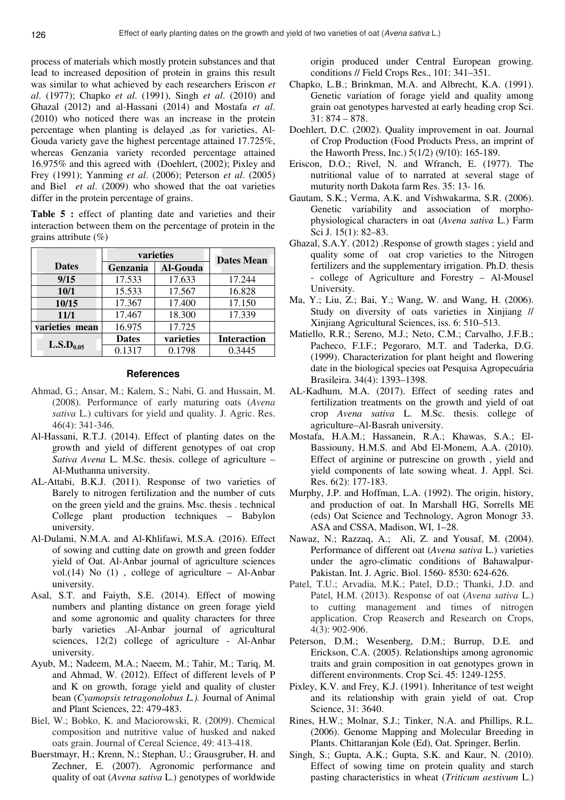process of materials which mostly protein substances and that lead to increased deposition of protein in grains this result was similar to what achieved by each researchers Eriscon *et al*. (1977); Chapko *et al*. (1991), Singh *et al*. (2010) and Ghazal (2012) and al-Hassani (2014) and Mostafa *et al*. (2010) who noticed there was an increase in the protein percentage when planting is delayed ,as for varieties, Al-Gouda variety gave the highest percentage attained 17.725%, whereas Genzania variety recorded percentage attained 16.975% and this agreed with (Doehlert, (2002); Pixley and Frey (1991); Yanming *et al*. (2006); Peterson *et al*. (2005) and Biel *et al*. (2009) who showed that the oat varieties differ in the protein percentage of grains.

**Table 5 :** effect of planting date and varieties and their interaction between them on the percentage of protein in the grains attribute (%)

|                       | varieties    |                 | <b>Dates Mean</b>  |
|-----------------------|--------------|-----------------|--------------------|
| <b>Dates</b>          | Genzania     | <b>Al-Gouda</b> |                    |
| 9/15                  | 17.533       | 17.633          | 17.244             |
| 10/1                  | 15.533       | 17.567          | 16.828             |
| 10/15                 | 17.367       | 17.400          | 17.150             |
| 11/1                  | 17.467       | 18.300          | 17.339             |
| varieties mean        | 16.975       | 17.725          |                    |
| $\text{L.S.D}_{0.05}$ | <b>Dates</b> | varieties       | <b>Interaction</b> |
|                       | 0.1317       | 0.1798          | 0.3445             |

#### **References**

- Ahmad, G.; Ansar, M.; Kalem, S.; Nabi, G. and Hussain, M. (2008). Performance of early maturing oats (*Avena sativa* L.) cultivars for yield and quality. J. Agric. Res. 46(4): 341-346.
- Al-Hassani, R.T.J. (2014). Effect of planting dates on the growth and yield of different genotypes of oat crop *Sativa Avena* L. M.Sc. thesis. college of agriculture – Al-Muthanna university.
- AL-Attabi, B.K.J. (2011). Response of two varieties of Barely to nitrogen fertilization and the number of cuts on the green yield and the grains. Msc. thesis . technical College plant production techniques – Babylon university.
- Al-Dulami, N.M.A. and Al-Khlifawi, M.S.A. (2016). Effect of sowing and cutting date on growth and green fodder yield of Oat. Al-Anbar journal of agriculture sciences vol.(14) No (1) , college of agriculture – Al-Anbar university.
- Asal, S.T. and Faiyth, S.E. (2014). Effect of mowing numbers and planting distance on green forage yield and some agronomic and quality characters for three barly varieties .Al-Anbar journal of agricultural sciences, 12(2) college of agriculture - Al-Anbar university.
- Ayub, M.; Nadeem, M.A.; Naeem, M.; Tahir, M.; Tariq, M. and Ahmad, W. (2012). Effect of different levels of P and K on growth, forage yield and quality of cluster bean (*Cyamopsis tetragonolobus L.).* Journal of Animal and Plant Sciences, 22: 479-483.
- Biel, W.; Bobko, K. and Maciorowski, R. (2009). Chemical composition and nutritive value of husked and naked oats grain. Journal of Cereal Science, 49: 413-418.
- Buerstmayr, H.; Krenn, N.; Stephan, U.; Grausgruber, H. and Zechner, E. (2007). Agronomic performance and quality of oat (*Avena sativa* L.) genotypes of worldwide

origin produced under Central European growing. conditions // Field Crops Res., 101: 341–351.

- Chapko, L.B.; Brinkman, M.A. and Albrecht, K.A. (1991). Genetic variation of forage yield and quality among grain oat genotypes harvested at early heading crop Sci. 31: 874 – 878.
- Doehlert, D.C. (2002). Quality improvement in oat. Journal of Crop Production (Food Products Press, an imprint of the Haworth Press, Inc.) 5(1/2) (9/10): 165-189.
- Eriscon, D.O.; Rivel, N. and Wfranch, E. (1977). The nutritional value of to narrated at several stage of muturity north Dakota farm Res. 35: 13- 16.
- Gautam, S.K.; Verma, A.K. and Vishwakarma, S.R. (2006). Genetic variability and association of morphophysiological characters in oat (*Avena sativa* L.) Farm Sci J. 15(1): 82–83.
- Ghazal, S.A.Y. (2012) .Response of growth stages ; yield and quality some of oat crop varieties to the Nitrogen fertilizers and the supplementary irrigation. Ph.D. thesis - college of Agriculture and Forestry – Al-Mousel University.
- Ma, Y.; Liu, Z.; Bai, Y.; Wang, W. and Wang, H. (2006). Study on diversity of oats varieties in Xinjiang // Xinjiang Agricultural Sciences, iss. 6: 510–513.
- Matiello, R.R.; Sereno, M.J.; Neto, C.M.; Carvalho, J.F.B.; Pacheco, F.I.F.; Pegoraro, M.T. and Taderka, D.G. (1999). Characterization for plant height and flowering date in the biological species oat Pesquisa Agropecuária Brasileira. 34(4): 1393–1398.
- AL-Kadhum, M.A. (2017). Effect of seeding rates and fertilization treatments on the growth and yield of oat crop *Avena sativa* L. M.Sc. thesis. college of agriculture–Al-Basrah university.
- Mostafa, H.A.M.; Hassanein, R.A.; Khawas, S.A.; El-Bassiouny, H.M.S. and Abd El-Monem, A.A. (2010). Effect of arginine or putrescine on growth , yield and yield components of late sowing wheat. J. Appl. Sci. Res. 6(2): 177-183.
- Murphy, J.P. and Hoffman, L.A. (1992). The origin, history, and production of oat. In Marshall HG, Sorrells ME (eds) Oat Science and Technology, Agron Monogr 33. ASA and CSSA, Madison, WI, 1–28.
- Nawaz, N.; Razzaq, A.; Ali, Z. and Yousaf, M. (2004). Performance of different oat (*Avena sativa* L.) varieties under the agro-climatic conditions of Bahawalpur-Pakistan. Int. J. Agric. Biol. 1560- 8530: 624-626.
- Patel, T.U.; Arvadia, M.K.; Patel, D.D.; Thanki, J.D. and Patel, H.M. (2013). Response of oat (*Avena sativa* L.) to cutting management and times of nitrogen application. Crop Reaserch and Research on Crops, 4(3): 902-906.
- Peterson, D.M.; Wesenberg, D.M.; Burrup, D.E. and Erickson, C.A. (2005). Relationships among agronomic traits and grain composition in oat genotypes grown in different environments. Crop Sci. 45: 1249-1255.
- Pixley, K.V. and Frey, K.J. (1991). Inheritance of test weight and its relationship with grain yield of oat. Crop Science, 31: 3640.
- Rines, H.W.; Molnar, S.J.; Tinker, N.A. and Phillips, R.L. (2006). Genome Mapping and Molecular Breeding in Plants. Chittaranjan Kole (Ed), Oat. Springer, Berlin.
- Singh, S.; Gupta, A.K.; Gupta, S.K. and Kaur, N. (2010). Effect of sowing time on protein quality and starch pasting characteristics in wheat (*Triticum aestivum* L.)